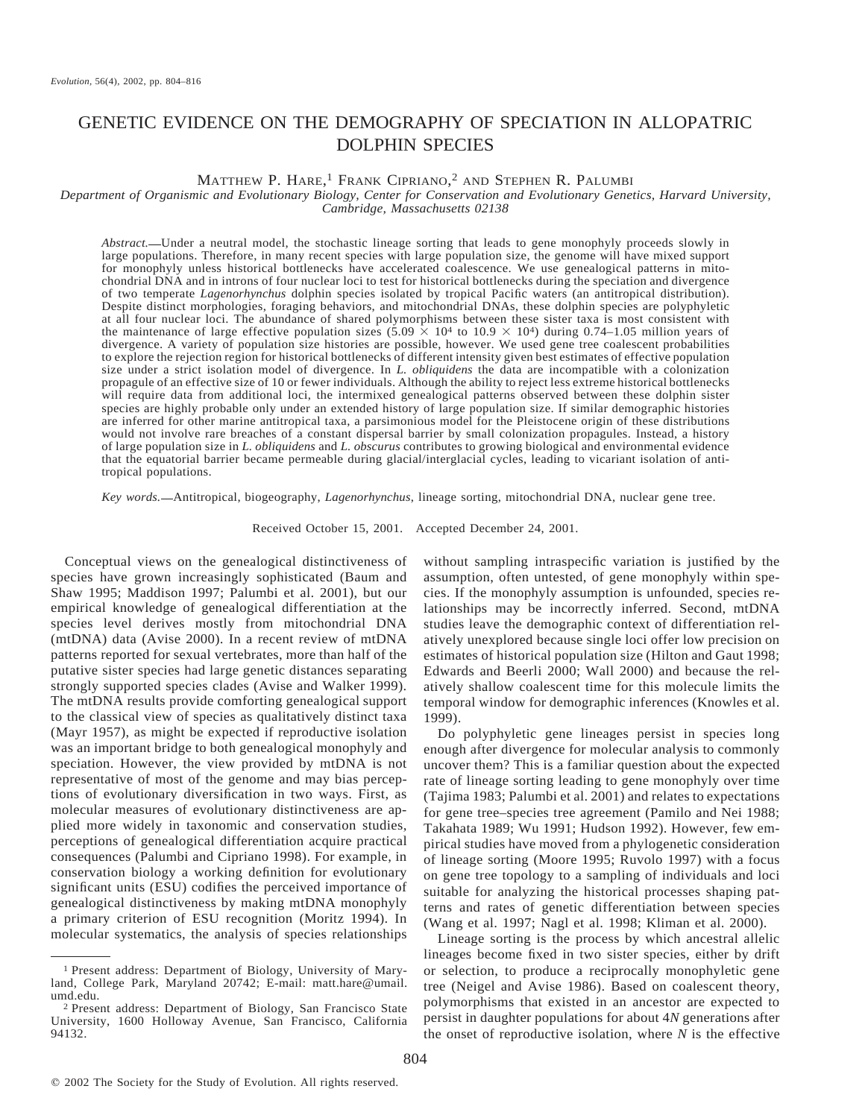# GENETIC EVIDENCE ON THE DEMOGRAPHY OF SPECIATION IN ALLOPATRIC DOLPHIN SPECIES

MATTHEW P. HARE, <sup>1</sup> FRANK CIPRIANO, <sup>2</sup> AND STEPHEN R. PALUMBI

*Department of Organismic and Evolutionary Biology, Center for Conservation and Evolutionary Genetics, Harvard University, Cambridge, Massachusetts 02138*

*Abstract.* - Under a neutral model, the stochastic lineage sorting that leads to gene monophyly proceeds slowly in large populations. Therefore, in many recent species with large population size, the genome will have mixed support for monophyly unless historical bottlenecks have accelerated coalescence. We use genealogical patterns in mitochondrial DNA and in introns of four nuclear loci to test for historical bottlenecks during the speciation and divergence of two temperate *Lagenorhynchus* dolphin species isolated by tropical Pacific waters (an antitropical distribution). Despite distinct morphologies, foraging behaviors, and mitochondrial DNAs, these dolphin species are polyphyletic at all four nuclear loci. The abundance of shared polymorphisms between these sister taxa is most consistent with the maintenance of large effective population sizes (5.09  $\times$  10<sup>4</sup> to 10.9  $\times$  10<sup>4</sup>) during 0.74–1.05 million years of divergence. A variety of population size histories are possible, however. We used gene tree coalescent probabilities to explore the rejection region for historical bottlenecks of different intensity given best estimates of effective population size under a strict isolation model of divergence. In *L. obliquidens* the data are incompatible with a colonization propagule of an effective size of 10 or fewer individuals. Although the ability to reject less extreme historical bottlenecks will require data from additional loci, the intermixed genealogical patterns observed between these dolphin sister species are highly probable only under an extended history of large population size. If similar demographic histories are inferred for other marine antitropical taxa, a parsimonious model for the Pleistocene origin of these distributions would not involve rare breaches of a constant dispersal barrier by small colonization propagules. Instead, a history of large population size in *L. obliquidens* and *L. obscurus* contributes to growing biological and environmental evidence that the equatorial barrier became permeable during glacial/interglacial cycles, leading to vicariant isolation of antitropical populations.

*Key words.* Antitropical, biogeography, *Lagenorhynchus*, lineage sorting, mitochondrial DNA, nuclear gene tree.

Received October 15, 2001. Accepted December 24, 2001.

Conceptual views on the genealogical distinctiveness of species have grown increasingly sophisticated (Baum and Shaw 1995; Maddison 1997; Palumbi et al. 2001), but our empirical knowledge of genealogical differentiation at the species level derives mostly from mitochondrial DNA (mtDNA) data (Avise 2000). In a recent review of mtDNA patterns reported for sexual vertebrates, more than half of the putative sister species had large genetic distances separating strongly supported species clades (Avise and Walker 1999). The mtDNA results provide comforting genealogical support to the classical view of species as qualitatively distinct taxa (Mayr 1957), as might be expected if reproductive isolation was an important bridge to both genealogical monophyly and speciation. However, the view provided by mtDNA is not representative of most of the genome and may bias perceptions of evolutionary diversification in two ways. First, as molecular measures of evolutionary distinctiveness are applied more widely in taxonomic and conservation studies, perceptions of genealogical differentiation acquire practical consequences (Palumbi and Cipriano 1998). For example, in conservation biology a working definition for evolutionary significant units (ESU) codifies the perceived importance of genealogical distinctiveness by making mtDNA monophyly a primary criterion of ESU recognition (Moritz 1994). In molecular systematics, the analysis of species relationships

without sampling intraspecific variation is justified by the assumption, often untested, of gene monophyly within species. If the monophyly assumption is unfounded, species relationships may be incorrectly inferred. Second, mtDNA studies leave the demographic context of differentiation relatively unexplored because single loci offer low precision on estimates of historical population size (Hilton and Gaut 1998; Edwards and Beerli 2000; Wall 2000) and because the relatively shallow coalescent time for this molecule limits the temporal window for demographic inferences (Knowles et al. 1999). Do polyphyletic gene lineages persist in species long

enough after divergence for molecular analysis to commonly uncover them? This is a familiar question about the expected rate of lineage sorting leading to gene monophyly over time (Tajima 1983; Palumbi et al. 2001) and relates to expectations for gene tree–species tree agreement (Pamilo and Nei 1988; Takahata 1989; Wu 1991; Hudson 1992). However, few empirical studies have moved from a phylogenetic consideration of lineage sorting (Moore 1995; Ruvolo 1997) with a focus on gene tree topology to a sampling of individuals and loci suitable for analyzing the historical processes shaping patterns and rates of genetic differentiation between species (Wang et al. 1997; Nagl et al. 1998; Kliman et al. 2000).

Lineage sorting is the process by which ancestral allelic lineages become fixed in two sister species, either by drift or selection, to produce a reciprocally monophyletic gene tree (Neigel and Avise 1986). Based on coalescent theory, polymorphisms that existed in an ancestor are expected to persist in daughter populations for about 4*N* generations after the onset of reproductive isolation, where *N* is the effective

<sup>1</sup> Present address: Department of Biology, University of Maryland, College Park, Maryland 20742; E-mail: matt.hare@umail. umd.edu. <sup>2</sup> Present address: Department of Biology, San Francisco State

University, 1600 Holloway Avenue, San Francisco, California 94132.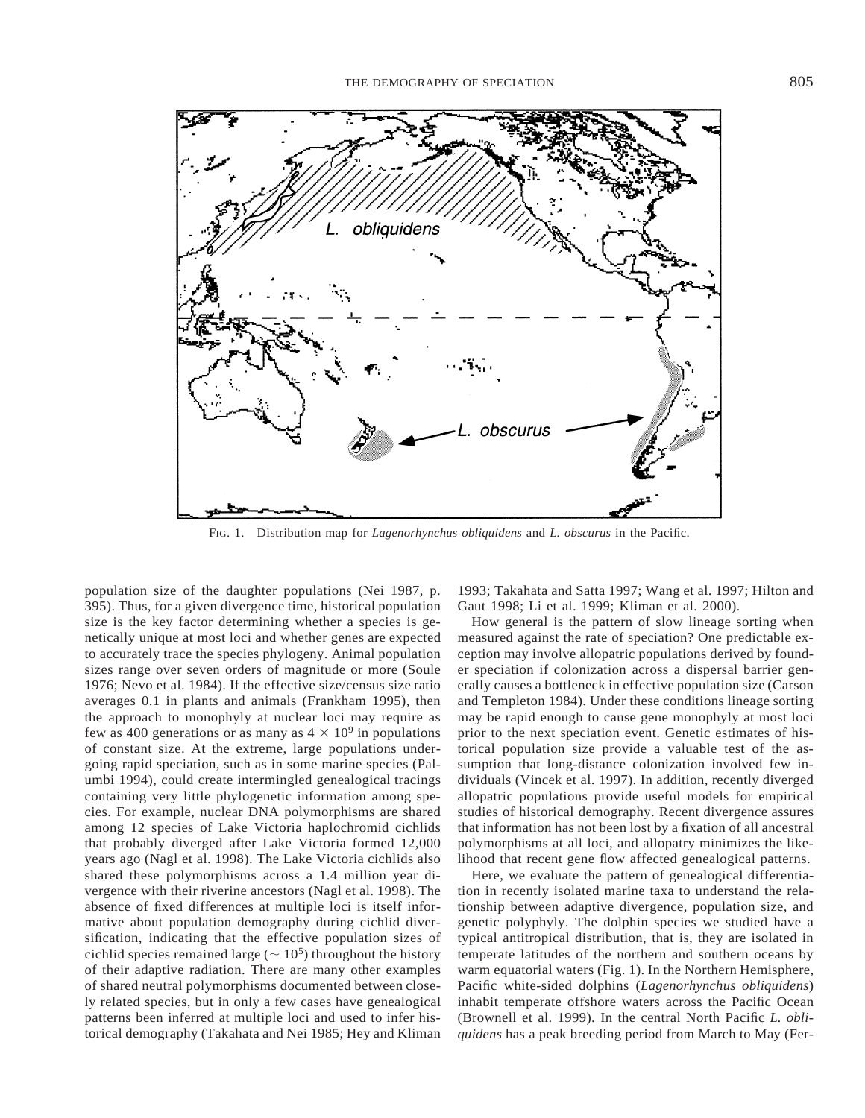

FIG. 1. Distribution map for *Lagenorhynchus obliquidens* and *L. obscurus* in the Pacific.

population size of the daughter populations (Nei 1987, p. 395). Thus, for a given divergence time, historical population size is the key factor determining whether a species is genetically unique at most loci and whether genes are expected to accurately trace the species phylogeny. Animal population sizes range over seven orders of magnitude or more (Soule 1976; Nevo et al. 1984). If the effective size/census size ratio averages 0.1 in plants and animals (Frankham 1995), then the approach to monophyly at nuclear loci may require as few as 400 generations or as many as  $4 \times 10^9$  in populations of constant size. At the extreme, large populations undergoing rapid speciation, such as in some marine species (Palumbi 1994), could create intermingled genealogical tracings containing very little phylogenetic information among species. For example, nuclear DNA polymorphisms are shared among 12 species of Lake Victoria haplochromid cichlids that probably diverged after Lake Victoria formed 12,000 years ago (Nagl et al. 1998). The Lake Victoria cichlids also shared these polymorphisms across a 1.4 million year divergence with their riverine ancestors (Nagl et al. 1998). The absence of fixed differences at multiple loci is itself informative about population demography during cichlid diversification, indicating that the effective population sizes of cichlid species remained large ( $\sim 10^5$ ) throughout the history of their adaptive radiation. There are many other examples of shared neutral polymorphisms documented between closely related species, but in only a few cases have genealogical patterns been inferred at multiple loci and used to infer historical demography (Takahata and Nei 1985; Hey and Kliman

1993; Takahata and Satta 1997; Wang et al. 1997; Hilton and Gaut 1998; Li et al. 1999; Kliman et al. 2000).

How general is the pattern of slow lineage sorting when measured against the rate of speciation? One predictable exception may involve allopatric populations derived by founder speciation if colonization across a dispersal barrier generally causes a bottleneck in effective population size (Carson and Templeton 1984). Under these conditions lineage sorting may be rapid enough to cause gene monophyly at most loci prior to the next speciation event. Genetic estimates of historical population size provide a valuable test of the assumption that long-distance colonization involved few individuals (Vincek et al. 1997). In addition, recently diverged allopatric populations provide useful models for empirical studies of historical demography. Recent divergence assures that information has not been lost by a fixation of all ancestral polymorphisms at all loci, and allopatry minimizes the likelihood that recent gene flow affected genealogical patterns.

Here, we evaluate the pattern of genealogical differentiation in recently isolated marine taxa to understand the relationship between adaptive divergence, population size, and genetic polyphyly. The dolphin species we studied have a typical antitropical distribution, that is, they are isolated in temperate latitudes of the northern and southern oceans by warm equatorial waters (Fig. 1). In the Northern Hemisphere, Pacific white-sided dolphins (*Lagenorhynchus obliquidens*) inhabit temperate offshore waters across the Pacific Ocean (Brownell et al. 1999). In the central North Pacific *L. obliquidens* has a peak breeding period from March to May (Fer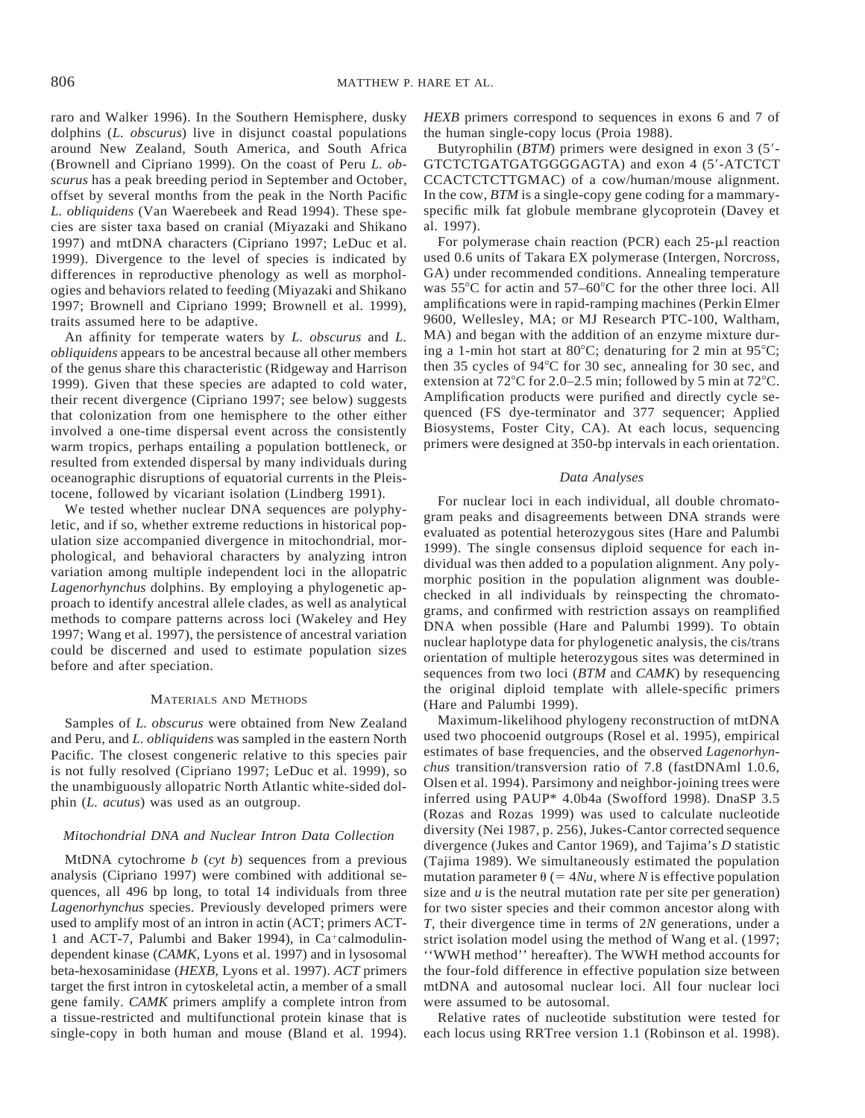raro and Walker 1996). In the Southern Hemisphere, dusky dolphins (*L. obscurus*) live in disjunct coastal populations around New Zealand, South America, and South Africa (Brownell and Cipriano 1999). On the coast of Peru *L. obscurus* has a peak breeding period in September and October, offset by several months from the peak in the North Pacific *L. obliquidens* (Van Waerebeek and Read 1994). These species are sister taxa based on cranial (Miyazaki and Shikano 1997) and mtDNA characters (Cipriano 1997; LeDuc et al. 1999). Divergence to the level of species is indicated by differences in reproductive phenology as well as morphologies and behaviors related to feeding (Miyazaki and Shikano 1997; Brownell and Cipriano 1999; Brownell et al. 1999), traits assumed here to be adaptive.

An affinity for temperate waters by *L. obscurus* and *L. obliquidens* appears to be ancestral because all other members of the genus share this characteristic (Ridgeway and Harrison 1999). Given that these species are adapted to cold water, their recent divergence (Cipriano 1997; see below) suggests that colonization from one hemisphere to the other either involved a one-time dispersal event across the consistently warm tropics, perhaps entailing a population bottleneck, or resulted from extended dispersal by many individuals during oceanographic disruptions of equatorial currents in the Pleistocene, followed by vicariant isolation (Lindberg 1991).

We tested whether nuclear DNA sequences are polyphyletic, and if so, whether extreme reductions in historical population size accompanied divergence in mitochondrial, morphological, and behavioral characters by analyzing intron variation among multiple independent loci in the allopatric *Lagenorhynchus* dolphins. By employing a phylogenetic approach to identify ancestral allele clades, as well as analytical methods to compare patterns across loci (Wakeley and Hey 1997; Wang et al. 1997), the persistence of ancestral variation could be discerned and used to estimate population sizes before and after speciation.

## MATERIALS AND METHODS

Samples of *L. obscurus* were obtained from New Zealand and Peru, and *L. obliquidens* was sampled in the eastern North Pacific. The closest congeneric relative to this species pair is not fully resolved (Cipriano 1997; LeDuc et al. 1999), so the unambiguously allopatric North Atlantic white-sided dolphin (*L. acutus*) was used as an outgroup.

## *Mitochondrial DNA and Nuclear Intron Data Collection*

MtDNA cytochrome *b* (*cyt b*) sequences from a previous analysis (Cipriano 1997) were combined with additional sequences, all 496 bp long, to total 14 individuals from three *Lagenorhynchus* species. Previously developed primers were used to amplify most of an intron in actin (ACT; primers ACT-1 and ACT-7, Palumbi and Baker 1994), in Ca+calmodulindependent kinase (*CAMK*, Lyons et al. 1997) and in lysosomal beta-hexosaminidase (*HEXB*, Lyons et al. 1997). *ACT* primers target the first intron in cytoskeletal actin, a member of a small gene family. *CAMK* primers amplify a complete intron from a tissue-restricted and multifunctional protein kinase that is single-copy in both human and mouse (Bland et al. 1994). *HEXB* primers correspond to sequences in exons 6 and 7 of the human single-copy locus (Proia 1988).

Butyrophilin (*BTM*) primers were designed in exon 3 (5'-GTCTCTGATGATGGGGAGTA) and exon 4 (5'-ATCTCT CCACTCTCTTGMAC) of a cow/human/mouse alignment. In the cow, *BTM* is a single-copy gene coding for a mammaryspecific milk fat globule membrane glycoprotein (Davey et al. 1997).

For polymerase chain reaction (PCR) each  $25-\mu l$  reaction used 0.6 units of Takara EX polymerase (Intergen, Norcross, GA) under recommended conditions. Annealing temperature was  $55^{\circ}$ C for actin and  $57-60^{\circ}$ C for the other three loci. All amplifications were in rapid-ramping machines (Perkin Elmer 9600, Wellesley, MA; or MJ Research PTC-100, Waltham, MA) and began with the addition of an enzyme mixture during a 1-min hot start at  $80^{\circ}$ C; denaturing for 2 min at  $95^{\circ}$ C; then 35 cycles of  $94^{\circ}$ C for 30 sec, annealing for 30 sec, and extension at  $72^{\circ}$ C for 2.0–2.5 min; followed by 5 min at  $72^{\circ}$ C. Amplification products were purified and directly cycle sequenced (FS dye-terminator and 377 sequencer; Applied Biosystems, Foster City, CA). At each locus, sequencing primers were designed at 350-bp intervals in each orientation.

## *Data Analyses*

For nuclear loci in each individual, all double chromatogram peaks and disagreements between DNA strands were evaluated as potential heterozygous sites (Hare and Palumbi 1999). The single consensus diploid sequence for each individual was then added to a population alignment. Any polymorphic position in the population alignment was doublechecked in all individuals by reinspecting the chromatograms, and confirmed with restriction assays on reamplified DNA when possible (Hare and Palumbi 1999). To obtain nuclear haplotype data for phylogenetic analysis, the cis/trans orientation of multiple heterozygous sites was determined in sequences from two loci (*BTM* and *CAMK*) by resequencing the original diploid template with allele-specific primers (Hare and Palumbi 1999).

Maximum-likelihood phylogeny reconstruction of mtDNA used two phocoenid outgroups (Rosel et al. 1995), empirical estimates of base frequencies, and the observed *Lagenorhynchus* transition/transversion ratio of 7.8 (fastDNAml 1.0.6, Olsen et al. 1994). Parsimony and neighbor-joining trees were inferred using PAUP\* 4.0b4a (Swofford 1998). DnaSP 3.5 (Rozas and Rozas 1999) was used to calculate nucleotide diversity (Nei 1987, p. 256), Jukes-Cantor corrected sequence divergence (Jukes and Cantor 1969), and Tajima's *D* statistic (Tajima 1989). We simultaneously estimated the population mutation parameter  $\theta$  (= 4*Nu*, where *N* is effective population size and *u* is the neutral mutation rate per site per generation) for two sister species and their common ancestor along with *T,* their divergence time in terms of 2*N* generations, under a strict isolation model using the method of Wang et al. (1997; ''WWH method'' hereafter). The WWH method accounts for the four-fold difference in effective population size between mtDNA and autosomal nuclear loci. All four nuclear loci were assumed to be autosomal.

Relative rates of nucleotide substitution were tested for each locus using RRTree version 1.1 (Robinson et al. 1998).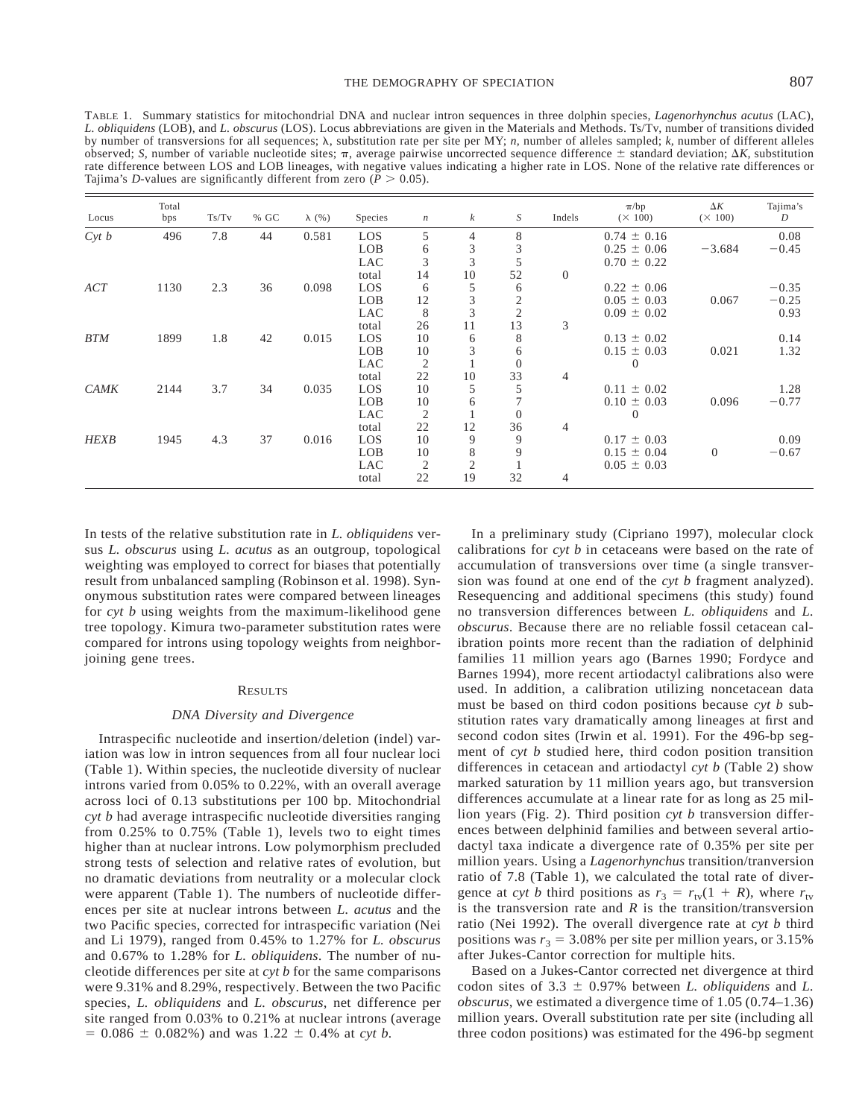TABLE 1. Summary statistics for mitochondrial DNA and nuclear intron sequences in three dolphin species, *Lagenorhynchus acutus* (LAC), *L. obliquidens* (LOB), and *L. obscurus* (LOS). Locus abbreviations are given in the Materials and Methods. Ts/Tv, number of transitions divided by number of transversions for all sequences;  $\lambda$ , substitution rate per site per MY; *n*, number of alleles sampled; *k*, number of different alleles observed; *S*, number of variable nucleotide sites;  $\pi$ , average pairwise uncorrected sequence difference  $\pm$  standard deviation;  $\Delta K$ , substitution rate difference between LOS and LOB lineages, with negative values indicating a higher rate in LOS. None of the relative rate differences or Tajima's *D*-values are significantly different from zero ( $P > 0.05$ ).

| Locus       | Total<br>bps | Ts/Tv | $%$ GC | $\lambda$ (%) | Species    | $\boldsymbol{n}$ | $\boldsymbol{k}$ | S                | Indels         | $\pi/bp$<br>$(\times 100)$ | $\Delta K$<br>$(\times 100)$ | Tajima's<br>D |
|-------------|--------------|-------|--------|---------------|------------|------------------|------------------|------------------|----------------|----------------------------|------------------------------|---------------|
| Cyt b       | 496          | 7.8   | 44     | 0.581         | LOS        | 5                | $\overline{4}$   | 8                |                | $0.74 \pm 0.16$            |                              | 0.08          |
|             |              |       |        |               | LOB        | 6                | 3                | $\mathfrak 3$    |                | $0.25 \pm 0.06$            | $-3.684$                     | $-0.45$       |
|             |              |       |        |               | LAC        | 3                | 3                | 5                |                | $0.70 \pm 0.22$            |                              |               |
|             |              |       |        |               | total      | 14               | 10               | 52               | $\overline{0}$ |                            |                              |               |
| ACT         | 1130         | 2.3   | 36     | 0.098         | LOS        | 6                | 5                | 6                |                | $0.22 \pm 0.06$            |                              | $-0.35$       |
|             |              |       |        |               | LOB        | 12               | 3                | $\boldsymbol{2}$ |                | $0.05 \pm 0.03$            | 0.067                        | $-0.25$       |
|             |              |       |        |               | LAC        | 8                | 3                | $\overline{c}$   |                | $0.09 \pm 0.02$            |                              | 0.93          |
|             |              |       |        |               | total      | 26               | 11               | 13               | 3              |                            |                              |               |
| <b>BTM</b>  | 1899         | 1.8   | 42     | 0.015         | LOS        | 10               | 6                | 8                |                | $0.13 \pm 0.02$            |                              | 0.14          |
|             |              |       |        |               | <b>LOB</b> | 10               | 3                | 6                |                | $0.15 \pm 0.03$            | 0.021                        | 1.32          |
|             |              |       |        |               | LAC        | $\mathfrak{2}$   |                  | $\overline{0}$   |                | $\theta$                   |                              |               |
|             |              |       |        |               | total      | 22               | 10               | 33               | 4              |                            |                              |               |
| <b>CAMK</b> | 2144         | 3.7   | 34     | 0.035         | LOS        | 10               | 5                | 5                |                | $0.11 \pm 0.02$            |                              | 1.28          |
|             |              |       |        |               | LOB        | 10               | 6                |                  |                | $0.10 \pm 0.03$            | 0.096                        | $-0.77$       |
|             |              |       |        |               | <b>LAC</b> | $\mathfrak{2}$   |                  | $\mathbf{0}$     |                | $\theta$                   |                              |               |
|             |              |       |        |               | total      | 22               | 12               | 36               | 4              |                            |                              |               |
| <b>HEXB</b> | 1945         | 4.3   | 37     | 0.016         | LOS        | 10               | 9                | 9                |                | $0.17 \pm 0.03$            |                              | 0.09          |
|             |              |       |        |               | LOB        | 10               | 8                | 9                |                | $0.15 \pm 0.04$            | $\mathbf{0}$                 | $-0.67$       |
|             |              |       |        |               | <b>LAC</b> | $\overline{c}$   | $\overline{2}$   |                  |                | $0.05 \pm 0.03$            |                              |               |
|             |              |       |        |               | total      | 22               | 19               | 32               | 4              |                            |                              |               |

In tests of the relative substitution rate in *L. obliquidens* versus *L. obscurus* using *L. acutus* as an outgroup, topological weighting was employed to correct for biases that potentially result from unbalanced sampling (Robinson et al. 1998). Synonymous substitution rates were compared between lineages for *cyt b* using weights from the maximum-likelihood gene tree topology. Kimura two-parameter substitution rates were compared for introns using topology weights from neighborjoining gene trees.

## **RESULTS**

## *DNA Diversity and Divergence*

Intraspecific nucleotide and insertion/deletion (indel) variation was low in intron sequences from all four nuclear loci (Table 1). Within species, the nucleotide diversity of nuclear introns varied from 0.05% to 0.22%, with an overall average across loci of 0.13 substitutions per 100 bp. Mitochondrial *cyt b* had average intraspecific nucleotide diversities ranging from 0.25% to 0.75% (Table 1), levels two to eight times higher than at nuclear introns. Low polymorphism precluded strong tests of selection and relative rates of evolution, but no dramatic deviations from neutrality or a molecular clock were apparent (Table 1). The numbers of nucleotide differences per site at nuclear introns between *L. acutus* and the two Pacific species, corrected for intraspecific variation (Nei and Li 1979), ranged from 0.45% to 1.27% for *L. obscurus* and 0.67% to 1.28% for *L. obliquidens*. The number of nucleotide differences per site at *cyt b* for the same comparisons were 9.31% and 8.29%, respectively. Between the two Pacific species, *L. obliquidens* and *L. obscurus*, net difference per site ranged from 0.03% to 0.21% at nuclear introns (average  $= 0.086 \pm 0.082\%$  and was 1.22  $\pm$  0.4% at *cyt b*.

In a preliminary study (Cipriano 1997), molecular clock calibrations for *cyt b* in cetaceans were based on the rate of accumulation of transversions over time (a single transversion was found at one end of the *cyt b* fragment analyzed). Resequencing and additional specimens (this study) found no transversion differences between *L. obliquidens* and *L. obscurus*. Because there are no reliable fossil cetacean calibration points more recent than the radiation of delphinid families 11 million years ago (Barnes 1990; Fordyce and Barnes 1994), more recent artiodactyl calibrations also were used. In addition, a calibration utilizing noncetacean data must be based on third codon positions because *cyt b* substitution rates vary dramatically among lineages at first and second codon sites (Irwin et al. 1991). For the 496-bp segment of *cyt b* studied here, third codon position transition differences in cetacean and artiodactyl *cyt b* (Table 2) show marked saturation by 11 million years ago, but transversion differences accumulate at a linear rate for as long as 25 million years (Fig. 2). Third position *cyt b* transversion differences between delphinid families and between several artiodactyl taxa indicate a divergence rate of 0.35% per site per million years. Using a *Lagenorhynchus* transition/tranversion ratio of 7.8 (Table 1), we calculated the total rate of divergence at *cyt b* third positions as  $r_3 = r_{\text{tv}}(1 + R)$ , where  $r_{\text{tv}}$ is the transversion rate and  $R$  is the transition/transversion ratio (Nei 1992). The overall divergence rate at *cyt b* third positions was  $r_3 = 3.08\%$  per site per million years, or  $3.15\%$ after Jukes-Cantor correction for multiple hits.

Based on a Jukes-Cantor corrected net divergence at third codon sites of  $3.3 \pm 0.97\%$  between *L. obliquidens* and *L. obscurus*, we estimated a divergence time of 1.05 (0.74–1.36) million years. Overall substitution rate per site (including all three codon positions) was estimated for the 496-bp segment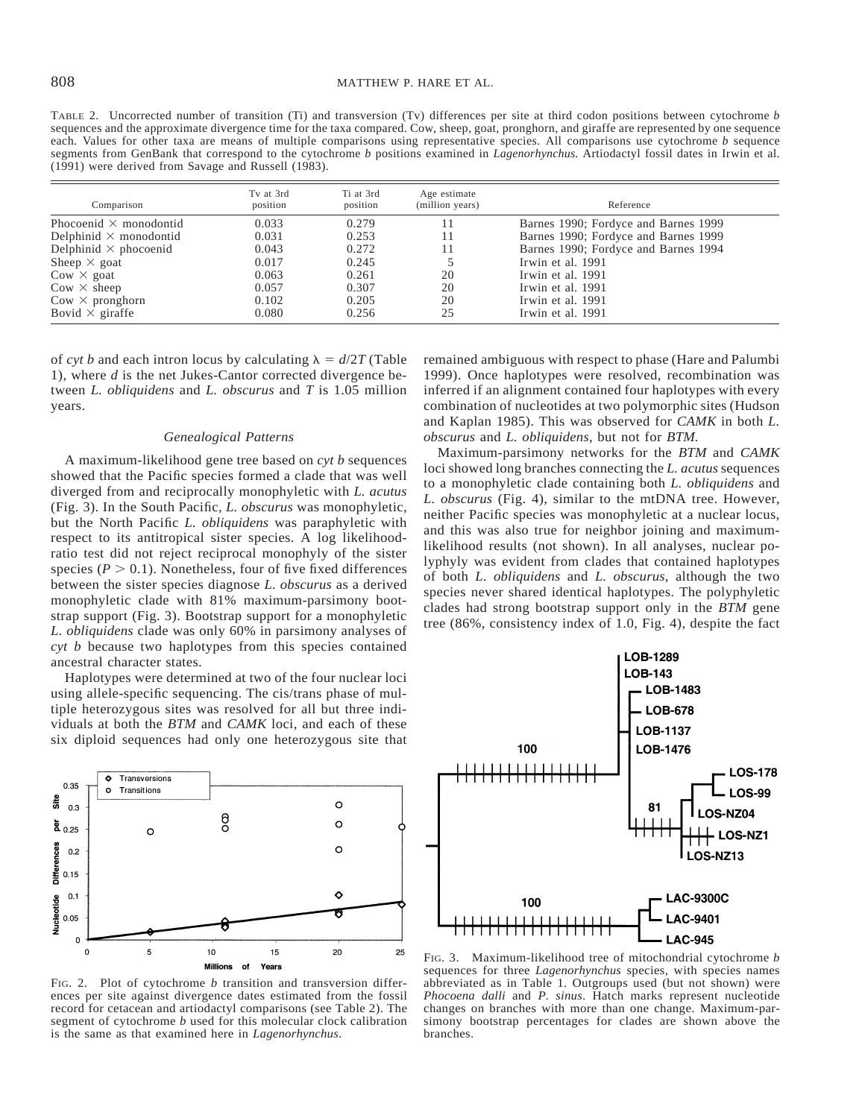TABLE 2. Uncorrected number of transition (Ti) and transversion (Tv) differences per site at third codon positions between cytochrome *b* sequences and the approximate divergence time for the taxa compared. Cow, sheep, goat, pronghorn, and giraffe are represented by one sequence each. Values for other taxa are means of multiple comparisons using representative species. All comparisons use cytochrome *b* sequence segments from GenBank that correspond to the cytochrome *b* positions examined in *Lagenorhynchus.* Artiodactyl fossil dates in Irwin et al. (1991) were derived from Savage and Russell (1983).

| Comparison                          | Tv at 3rd<br>position | Ti at 3rd<br>position | Age estimate<br>(million years) | Reference                            |
|-------------------------------------|-----------------------|-----------------------|---------------------------------|--------------------------------------|
| Phocoenid $\times$ monodontid       | 0.033                 | 0.279                 |                                 | Barnes 1990; Fordyce and Barnes 1999 |
| Delphinid $\times$ monodontid       | 0.031                 | 0.253                 |                                 | Barnes 1990; Fordyce and Barnes 1999 |
| Delphinid $\times$ phocoenid        | 0.043                 | 0.272                 |                                 | Barnes 1990; Fordyce and Barnes 1994 |
| Sheep $\times$ goat                 | 0.017                 | 0.245                 |                                 | Irwin et al. 1991                    |
| $\text{Cow} \times \text{goat}$     | 0.063                 | 0.261                 | 20                              | Irwin et al. 1991                    |
| $\text{Cow} \times \text{sheep}$    | 0.057                 | 0.307                 | 20                              | Irwin et al. 1991                    |
| $\text{Cow} \times \text{prophorn}$ | 0.102                 | 0.205                 | 20                              | Irwin et al. 1991                    |
| Bovid $\times$ giraffe              | 0.080                 | 0.256                 | 25                              | Irwin et al. 1991                    |

of *cyt b* and each intron locus by calculating  $\lambda = d/2T$  (Table 1), where *d* is the net Jukes-Cantor corrected divergence between *L. obliquidens* and *L. obscurus* and *T* is 1.05 million years.

## *Genealogical Patterns*

A maximum-likelihood gene tree based on *cyt b* sequences showed that the Pacific species formed a clade that was well diverged from and reciprocally monophyletic with *L. acutus* (Fig. 3). In the South Pacific, *L. obscurus* was monophyletic, but the North Pacific *L. obliquidens* was paraphyletic with respect to its antitropical sister species. A log likelihoodratio test did not reject reciprocal monophyly of the sister species ( $P > 0.1$ ). Nonetheless, four of five fixed differences between the sister species diagnose *L. obscurus* as a derived monophyletic clade with 81% maximum-parsimony bootstrap support (Fig. 3). Bootstrap support for a monophyletic *L. obliquidens* clade was only 60% in parsimony analyses of *cyt b* because two haplotypes from this species contained ancestral character states.

Haplotypes were determined at two of the four nuclear loci using allele-specific sequencing. The cis/trans phase of multiple heterozygous sites was resolved for all but three individuals at both the *BTM* and *CAMK* loci, and each of these six diploid sequences had only one heterozygous site that



FIG. 2. Plot of cytochrome *b* transition and transversion differences per site against divergence dates estimated from the fossil record for cetacean and artiodactyl comparisons (see Table 2). The segment of cytochrome *b* used for this molecular clock calibration is the same as that examined here in *Lagenorhynchus*.

remained ambiguous with respect to phase (Hare and Palumbi 1999). Once haplotypes were resolved, recombination was inferred if an alignment contained four haplotypes with every combination of nucleotides at two polymorphic sites (Hudson and Kaplan 1985). This was observed for *CAMK* in both *L. obscurus* and *L. obliquidens*, but not for *BTM.*

Maximum-parsimony networks for the *BTM* and *CAMK* loci showed long branches connecting the *L. acutus* sequences to a monophyletic clade containing both *L. obliquidens* and *L. obscurus* (Fig. 4), similar to the mtDNA tree. However, neither Pacific species was monophyletic at a nuclear locus, and this was also true for neighbor joining and maximumlikelihood results (not shown). In all analyses, nuclear polyphyly was evident from clades that contained haplotypes of both *L. obliquidens* and *L. obscurus*, although the two species never shared identical haplotypes. The polyphyletic clades had strong bootstrap support only in the *BTM* gene tree (86%, consistency index of 1.0, Fig. 4), despite the fact



FIG. 3. Maximum-likelihood tree of mitochondrial cytochrome *b* sequences for three *Lagenorhynchus* species, with species names abbreviated as in Table 1. Outgroups used (but not shown) were *Phocoena dalli* and *P. sinus*. Hatch marks represent nucleotide changes on branches with more than one change. Maximum-parsimony bootstrap percentages for clades are shown above the branches.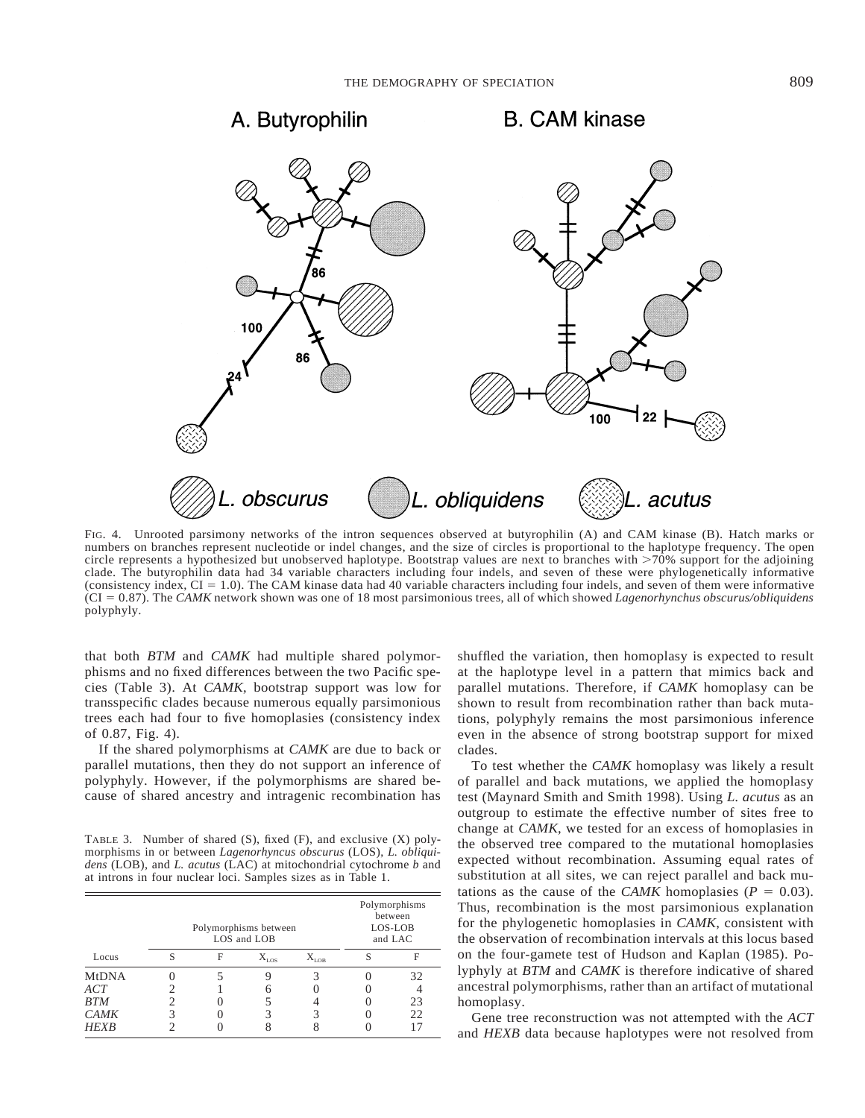

FIG. 4. Unrooted parsimony networks of the intron sequences observed at butyrophilin (A) and CAM kinase (B). Hatch marks or numbers on branches represent nucleotide or indel changes, and the size of circles is proportional to the haplotype frequency. The open circle represents a hypothesized but unobserved haplotype. Bootstrap values are next to branches with >70% support for the adjoining clade. The butyrophilin data had 34 variable characters including four indels, and seven of these were phylogenetically informative (consistency index,  $CI = 1.0$ ). The CAM kinase data had 40 variable characters including four indels, and seven of them were informative (CI 5 0.87). The *CAMK* network shown was one of 18 most parsimonious trees, all of which showed *Lagenorhynchus obscurus/obliquidens* polyphyly.

L. obliquidens

that both *BTM* and *CAMK* had multiple shared polymorphisms and no fixed differences between the two Pacific species (Table 3). At *CAMK*, bootstrap support was low for transspecific clades because numerous equally parsimonious trees each had four to five homoplasies (consistency index of 0.87, Fig. 4).

.. obscurus

If the shared polymorphisms at *CAMK* are due to back or parallel mutations, then they do not support an inference of polyphyly. However, if the polymorphisms are shared because of shared ancestry and intragenic recombination has

TABLE 3. Number of shared (S), fixed (F), and exclusive (X) polymorphisms in or between *Lagenorhyncus obscurus* (LOS), *L. obliquidens* (LOB), and *L. acutus* (LAC) at mitochondrial cytochrome *b* and at introns in four nuclear loci. Samples sizes as in Table 1.

|                                                   | Polymorphisms between<br>LOS and LOB | Polymorphisms<br>between<br>LOS-LOB<br>and LAC |           |  |                |
|---------------------------------------------------|--------------------------------------|------------------------------------------------|-----------|--|----------------|
| Locus                                             | F                                    | $X_{LOS}$                                      | $X_{LOB}$ |  | F              |
| MtDNA<br>ACT<br>BTM<br><b>CAMK</b><br><i>HEXB</i> |                                      |                                                |           |  | 32<br>23<br>22 |

shuffled the variation, then homoplasy is expected to result at the haplotype level in a pattern that mimics back and parallel mutations. Therefore, if *CAMK* homoplasy can be shown to result from recombination rather than back mutations, polyphyly remains the most parsimonious inference even in the absence of strong bootstrap support for mixed clades.

acutus

To test whether the *CAMK* homoplasy was likely a result of parallel and back mutations, we applied the homoplasy test (Maynard Smith and Smith 1998). Using *L. acutus* as an outgroup to estimate the effective number of sites free to change at *CAMK*, we tested for an excess of homoplasies in the observed tree compared to the mutational homoplasies expected without recombination. Assuming equal rates of substitution at all sites, we can reject parallel and back mutations as the cause of the *CAMK* homoplasies ( $P = 0.03$ ). Thus, recombination is the most parsimonious explanation for the phylogenetic homoplasies in *CAMK*, consistent with the observation of recombination intervals at this locus based on the four-gamete test of Hudson and Kaplan (1985). Polyphyly at *BTM* and *CAMK* is therefore indicative of shared ancestral polymorphisms, rather than an artifact of mutational homoplasy.

Gene tree reconstruction was not attempted with the *ACT* and *HEXB* data because haplotypes were not resolved from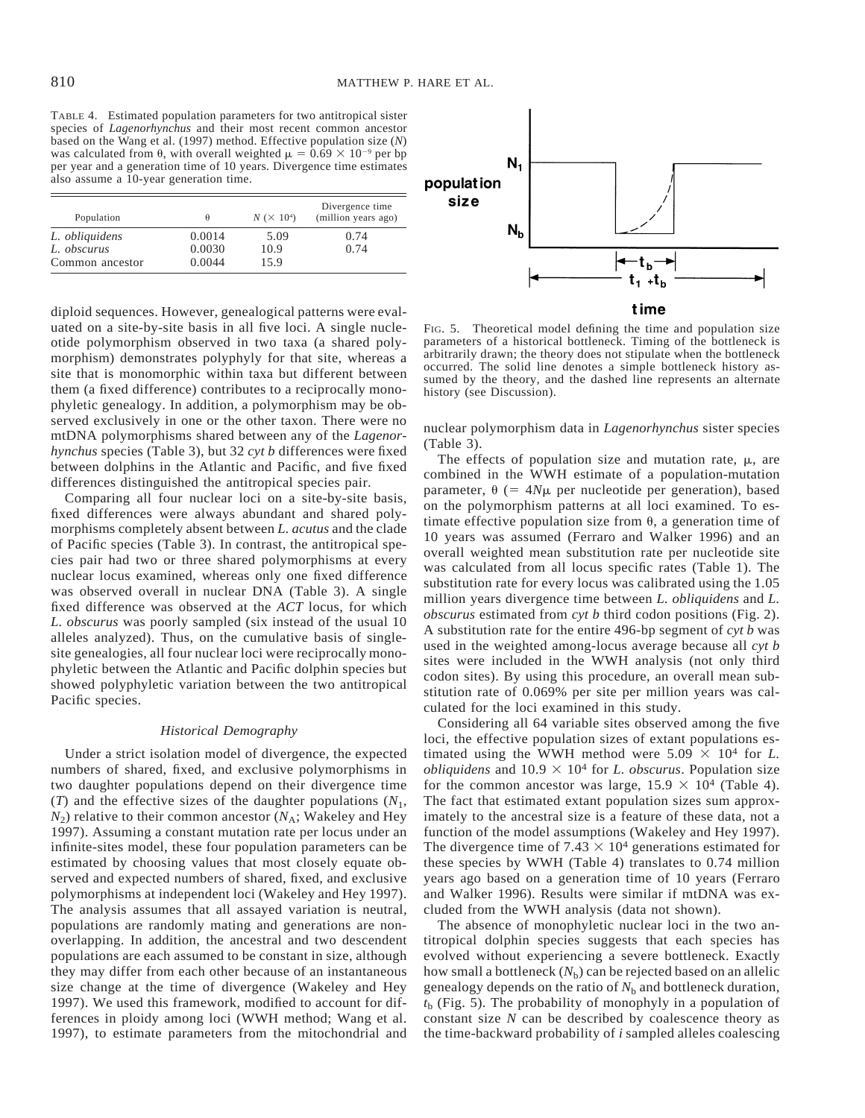TABLE 4. Estimated population parameters for two antitropical sister species of *Lagenorhynchus* and their most recent common ancestor based on the Wang et al. (1997) method. Effective population size (*N*) was calculated from  $\theta$ , with overall weighted  $\mu = 0.69 \times 10^{-9}$  per bp per year and a generation time of 10 years. Divergence time estimates also assume a 10-year generation time.

| Population                                       | $\theta$                   | $N \; (\times \; 10^4)$ | Divergence time<br>(million years ago) |
|--------------------------------------------------|----------------------------|-------------------------|----------------------------------------|
| L. obliquidens<br>L. obscurus<br>Common ancestor | 0.0014<br>0.0030<br>0.0044 | 5.09<br>10.9<br>15.9    | 0.74<br>0.74                           |

diploid sequences. However, genealogical patterns were evaluated on a site-by-site basis in all five loci. A single nucleotide polymorphism observed in two taxa (a shared polymorphism) demonstrates polyphyly for that site, whereas a site that is monomorphic within taxa but different between them (a fixed difference) contributes to a reciprocally monophyletic genealogy. In addition, a polymorphism may be observed exclusively in one or the other taxon. There were no mtDNA polymorphisms shared between any of the *Lagenorhynchus* species (Table 3), but 32 *cyt b* differences were fixed between dolphins in the Atlantic and Pacific, and five fixed differences distinguished the antitropical species pair.

Comparing all four nuclear loci on a site-by-site basis, fixed differences were always abundant and shared polymorphisms completely absent between *L. acutus* and the clade of Pacific species (Table 3). In contrast, the antitropical species pair had two or three shared polymorphisms at every nuclear locus examined, whereas only one fixed difference was observed overall in nuclear DNA (Table 3). A single fixed difference was observed at the *ACT* locus, for which *L. obscurus* was poorly sampled (six instead of the usual 10 alleles analyzed). Thus, on the cumulative basis of singlesite genealogies, all four nuclear loci were reciprocally monophyletic between the Atlantic and Pacific dolphin species but showed polyphyletic variation between the two antitropical Pacific species.

#### *Historical Demography*

Under a strict isolation model of divergence, the expected numbers of shared, fixed, and exclusive polymorphisms in two daughter populations depend on their divergence time (*T*) and the effective sizes of the daughter populations  $(N_1,$  $N_2$ ) relative to their common ancestor ( $N_A$ ; Wakeley and Hey 1997). Assuming a constant mutation rate per locus under an infinite-sites model, these four population parameters can be estimated by choosing values that most closely equate observed and expected numbers of shared, fixed, and exclusive polymorphisms at independent loci (Wakeley and Hey 1997). The analysis assumes that all assayed variation is neutral, populations are randomly mating and generations are nonoverlapping. In addition, the ancestral and two descendent populations are each assumed to be constant in size, although they may differ from each other because of an instantaneous size change at the time of divergence (Wakeley and Hey 1997). We used this framework, modified to account for differences in ploidy among loci (WWH method; Wang et al. 1997), to estimate parameters from the mitochondrial and



FIG. 5. Theoretical model defining the time and population size parameters of a historical bottleneck. Timing of the bottleneck is arbitrarily drawn; the theory does not stipulate when the bottleneck occurred. The solid line denotes a simple bottleneck history assumed by the theory, and the dashed line represents an alternate history (see Discussion).

nuclear polymorphism data in *Lagenorhynchus* sister species (Table 3).

The effects of population size and mutation rate,  $\mu$ , are combined in the WWH estimate of a population-mutation parameter,  $\theta$  (= 4*N* $\mu$  per nucleotide per generation), based on the polymorphism patterns at all loci examined. To estimate effective population size from  $\theta$ , a generation time of 10 years was assumed (Ferraro and Walker 1996) and an overall weighted mean substitution rate per nucleotide site was calculated from all locus specific rates (Table 1). The substitution rate for every locus was calibrated using the 1.05 million years divergence time between *L. obliquidens* and *L. obscurus* estimated from *cyt b* third codon positions (Fig. 2). A substitution rate for the entire 496-bp segment of *cyt b* was used in the weighted among-locus average because all *cyt b* sites were included in the WWH analysis (not only third codon sites). By using this procedure, an overall mean substitution rate of 0.069% per site per million years was calculated for the loci examined in this study.

Considering all 64 variable sites observed among the five loci, the effective population sizes of extant populations estimated using the WWH method were  $5.09 \times 10^4$  for *L*. *obliquidens* and  $10.9 \times 10^4$  for *L. obscurus*. Population size for the common ancestor was large,  $15.9 \times 10^4$  (Table 4). The fact that estimated extant population sizes sum approximately to the ancestral size is a feature of these data, not a function of the model assumptions (Wakeley and Hey 1997). The divergence time of  $7.43 \times 10^4$  generations estimated for these species by WWH (Table 4) translates to 0.74 million years ago based on a generation time of 10 years (Ferraro and Walker 1996). Results were similar if mtDNA was excluded from the WWH analysis (data not shown).

The absence of monophyletic nuclear loci in the two antitropical dolphin species suggests that each species has evolved without experiencing a severe bottleneck. Exactly how small a bottleneck  $(N_b)$  can be rejected based on an allelic genealogy depends on the ratio of  $N<sub>b</sub>$  and bottleneck duration,  $t<sub>b</sub>$  (Fig. 5). The probability of monophyly in a population of constant size *N* can be described by coalescence theory as the time-backward probability of *i* sampled alleles coalescing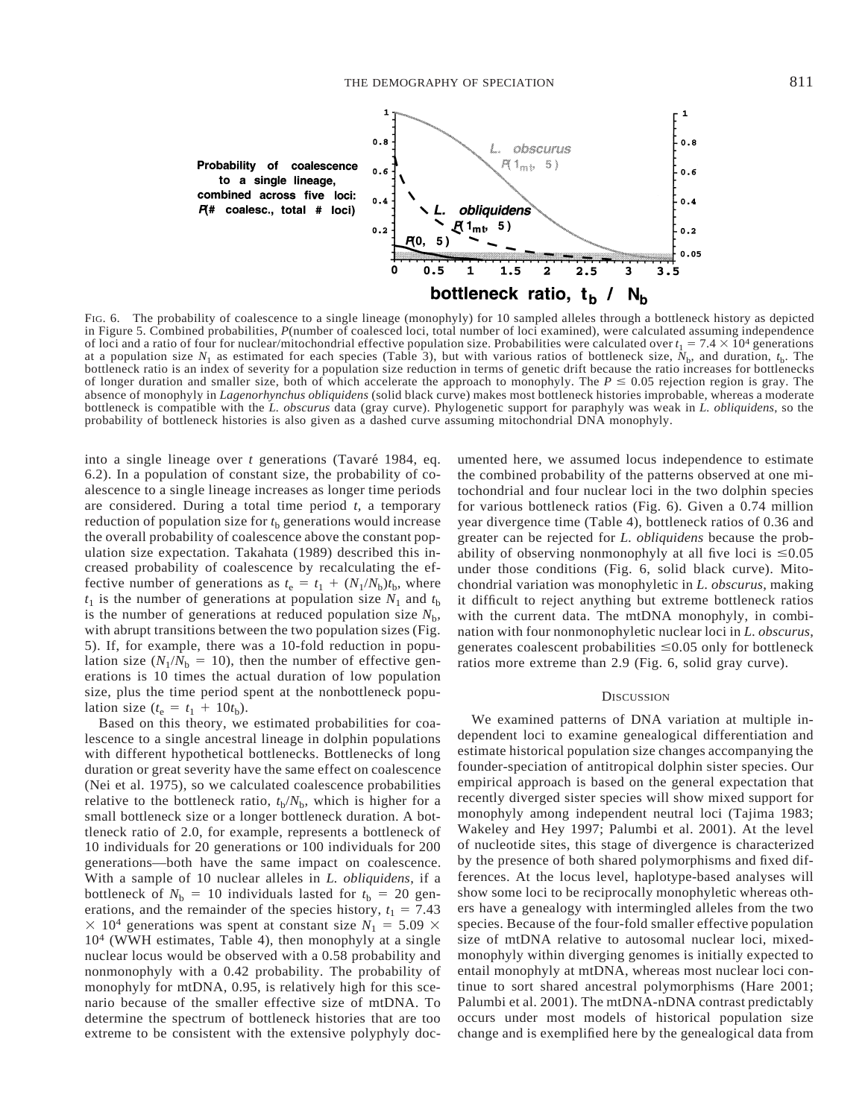

FIG. 6. The probability of coalescence to a single lineage (monophyly) for 10 sampled alleles through a bottleneck history as depicted in Figure 5. Combined probabilities, *P*(number of coalesced loci, total number of loci examined), were calculated assuming independence of loci and a ratio of four for nuclear/mitochondrial effective population size. Probabilities were calculated over  $t_1 = 7.4 \times 10^4$  generations at a population size  $N_1$  as estimated for each species (Table 3), but with various ratios of bottleneck size,  $N_b$ , and duration,  $t_b$ . The bottleneck ratio is an index of severity for a population size reduction in terms of genetic drift because the ratio increases for bottlenecks of longer duration and smaller size, both of which accelerate the approach to monophyly. The  $P \le 0.05$  rejection region is gray. The absence of monophyly in *Lagenorhynchus obliquidens* (solid black curve) makes most bottleneck histories improbable, whereas a moderate bottleneck is compatible with the *L. obscurus* data (gray curve). Phylogenetic support for paraphyly was weak in *L. obliquidens*, so the probability of bottleneck histories is also given as a dashed curve assuming mitochondrial DNA monophyly.

into a single lineage over *t* generations (Tavaré 1984, eq. 6.2). In a population of constant size, the probability of coalescence to a single lineage increases as longer time periods are considered. During a total time period *t,* a temporary reduction of population size for  $t<sub>b</sub>$  generations would increase the overall probability of coalescence above the constant population size expectation. Takahata (1989) described this increased probability of coalescence by recalculating the effective number of generations as  $t_e = t_1 + (N_1/N_b)t_b$ , where  $t_1$  is the number of generations at population size  $N_1$  and  $t_b$ is the number of generations at reduced population size  $N_{\rm b}$ , with abrupt transitions between the two population sizes (Fig. 5). If, for example, there was a 10-fold reduction in population size  $(N_1/N_b = 10)$ , then the number of effective generations is 10 times the actual duration of low population size, plus the time period spent at the nonbottleneck population size  $(t_e = t_1 + 10t_b)$ .

Based on this theory, we estimated probabilities for coalescence to a single ancestral lineage in dolphin populations with different hypothetical bottlenecks. Bottlenecks of long duration or great severity have the same effect on coalescence (Nei et al. 1975), so we calculated coalescence probabilities relative to the bottleneck ratio,  $t_b/N_b$ , which is higher for a small bottleneck size or a longer bottleneck duration. A bottleneck ratio of 2.0, for example, represents a bottleneck of 10 individuals for 20 generations or 100 individuals for 200 generations—both have the same impact on coalescence. With a sample of 10 nuclear alleles in *L. obliquidens*, if a bottleneck of  $N_b = 10$  individuals lasted for  $t_b = 20$  generations, and the remainder of the species history,  $t_1 = 7.43$  $\times$  10<sup>4</sup> generations was spent at constant size  $N_1 = 5.09 \times$ 104 (WWH estimates, Table 4), then monophyly at a single nuclear locus would be observed with a 0.58 probability and nonmonophyly with a 0.42 probability. The probability of monophyly for mtDNA, 0.95, is relatively high for this scenario because of the smaller effective size of mtDNA. To determine the spectrum of bottleneck histories that are too extreme to be consistent with the extensive polyphyly doc-

umented here, we assumed locus independence to estimate the combined probability of the patterns observed at one mitochondrial and four nuclear loci in the two dolphin species for various bottleneck ratios (Fig. 6). Given a 0.74 million year divergence time (Table 4), bottleneck ratios of 0.36 and greater can be rejected for *L. obliquidens* because the probability of observing nonmonophyly at all five loci is  $\leq 0.05$ under those conditions (Fig. 6, solid black curve). Mitochondrial variation was monophyletic in *L. obscurus*, making it difficult to reject anything but extreme bottleneck ratios with the current data. The mtDNA monophyly, in combination with four nonmonophyletic nuclear loci in *L. obscurus*, generates coalescent probabilities  $\leq 0.05$  only for bottleneck ratios more extreme than 2.9 (Fig. 6, solid gray curve).

## **DISCUSSION**

We examined patterns of DNA variation at multiple independent loci to examine genealogical differentiation and estimate historical population size changes accompanying the founder-speciation of antitropical dolphin sister species. Our empirical approach is based on the general expectation that recently diverged sister species will show mixed support for monophyly among independent neutral loci (Tajima 1983; Wakeley and Hey 1997; Palumbi et al. 2001). At the level of nucleotide sites, this stage of divergence is characterized by the presence of both shared polymorphisms and fixed differences. At the locus level, haplotype-based analyses will show some loci to be reciprocally monophyletic whereas others have a genealogy with intermingled alleles from the two species. Because of the four-fold smaller effective population size of mtDNA relative to autosomal nuclear loci, mixedmonophyly within diverging genomes is initially expected to entail monophyly at mtDNA, whereas most nuclear loci continue to sort shared ancestral polymorphisms (Hare 2001; Palumbi et al. 2001). The mtDNA-nDNA contrast predictably occurs under most models of historical population size change and is exemplified here by the genealogical data from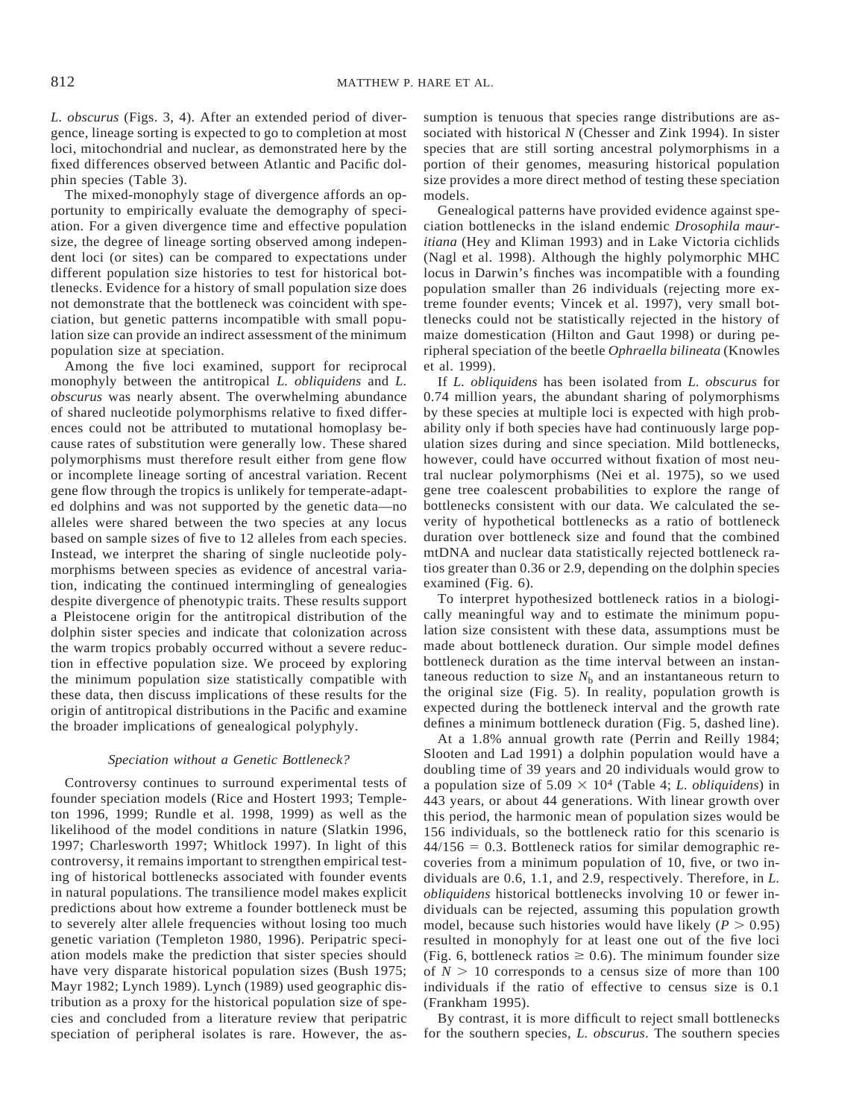*L. obscurus* (Figs. 3, 4). After an extended period of divergence, lineage sorting is expected to go to completion at most loci, mitochondrial and nuclear, as demonstrated here by the fixed differences observed between Atlantic and Pacific dolphin species (Table 3).

The mixed-monophyly stage of divergence affords an opportunity to empirically evaluate the demography of speciation. For a given divergence time and effective population size, the degree of lineage sorting observed among independent loci (or sites) can be compared to expectations under different population size histories to test for historical bottlenecks. Evidence for a history of small population size does not demonstrate that the bottleneck was coincident with speciation, but genetic patterns incompatible with small population size can provide an indirect assessment of the minimum population size at speciation.

Among the five loci examined, support for reciprocal monophyly between the antitropical *L. obliquidens* and *L. obscurus* was nearly absent. The overwhelming abundance of shared nucleotide polymorphisms relative to fixed differences could not be attributed to mutational homoplasy because rates of substitution were generally low. These shared polymorphisms must therefore result either from gene flow or incomplete lineage sorting of ancestral variation. Recent gene flow through the tropics is unlikely for temperate-adapted dolphins and was not supported by the genetic data—no alleles were shared between the two species at any locus based on sample sizes of five to 12 alleles from each species. Instead, we interpret the sharing of single nucleotide polymorphisms between species as evidence of ancestral variation, indicating the continued intermingling of genealogies despite divergence of phenotypic traits. These results support a Pleistocene origin for the antitropical distribution of the dolphin sister species and indicate that colonization across the warm tropics probably occurred without a severe reduction in effective population size. We proceed by exploring the minimum population size statistically compatible with these data, then discuss implications of these results for the origin of antitropical distributions in the Pacific and examine the broader implications of genealogical polyphyly.

## *Speciation without a Genetic Bottleneck?*

Controversy continues to surround experimental tests of founder speciation models (Rice and Hostert 1993; Templeton 1996, 1999; Rundle et al. 1998, 1999) as well as the likelihood of the model conditions in nature (Slatkin 1996, 1997; Charlesworth 1997; Whitlock 1997). In light of this controversy, it remains important to strengthen empirical testing of historical bottlenecks associated with founder events in natural populations. The transilience model makes explicit predictions about how extreme a founder bottleneck must be to severely alter allele frequencies without losing too much genetic variation (Templeton 1980, 1996). Peripatric speciation models make the prediction that sister species should have very disparate historical population sizes (Bush 1975; Mayr 1982; Lynch 1989). Lynch (1989) used geographic distribution as a proxy for the historical population size of species and concluded from a literature review that peripatric speciation of peripheral isolates is rare. However, the assumption is tenuous that species range distributions are associated with historical *N* (Chesser and Zink 1994). In sister species that are still sorting ancestral polymorphisms in a portion of their genomes, measuring historical population size provides a more direct method of testing these speciation models.

Genealogical patterns have provided evidence against speciation bottlenecks in the island endemic *Drosophila mauritiana* (Hey and Kliman 1993) and in Lake Victoria cichlids (Nagl et al. 1998). Although the highly polymorphic MHC locus in Darwin's finches was incompatible with a founding population smaller than 26 individuals (rejecting more extreme founder events; Vincek et al. 1997), very small bottlenecks could not be statistically rejected in the history of maize domestication (Hilton and Gaut 1998) or during peripheral speciation of the beetle *Ophraella bilineata* (Knowles et al. 1999).

If *L. obliquidens* has been isolated from *L. obscurus* for 0.74 million years, the abundant sharing of polymorphisms by these species at multiple loci is expected with high probability only if both species have had continuously large population sizes during and since speciation. Mild bottlenecks, however, could have occurred without fixation of most neutral nuclear polymorphisms (Nei et al. 1975), so we used gene tree coalescent probabilities to explore the range of bottlenecks consistent with our data. We calculated the severity of hypothetical bottlenecks as a ratio of bottleneck duration over bottleneck size and found that the combined mtDNA and nuclear data statistically rejected bottleneck ratios greater than 0.36 or 2.9, depending on the dolphin species examined (Fig. 6).

To interpret hypothesized bottleneck ratios in a biologically meaningful way and to estimate the minimum population size consistent with these data, assumptions must be made about bottleneck duration. Our simple model defines bottleneck duration as the time interval between an instantaneous reduction to size  $N<sub>b</sub>$  and an instantaneous return to the original size (Fig. 5). In reality, population growth is expected during the bottleneck interval and the growth rate defines a minimum bottleneck duration (Fig. 5, dashed line).

At a 1.8% annual growth rate (Perrin and Reilly 1984; Slooten and Lad 1991) a dolphin population would have a doubling time of 39 years and 20 individuals would grow to a population size of  $5.09 \times 10^4$  (Table 4; *L. obliquidens*) in 443 years, or about 44 generations. With linear growth over this period, the harmonic mean of population sizes would be 156 individuals, so the bottleneck ratio for this scenario is  $44/156 = 0.3$ . Bottleneck ratios for similar demographic recoveries from a minimum population of 10, five, or two individuals are 0.6, 1.1, and 2.9, respectively. Therefore, in *L. obliquidens* historical bottlenecks involving 10 or fewer individuals can be rejected, assuming this population growth model, because such histories would have likely  $(P > 0.95)$ resulted in monophyly for at least one out of the five loci (Fig. 6, bottleneck ratios  $\geq$  0.6). The minimum founder size of  $N > 10$  corresponds to a census size of more than 100 individuals if the ratio of effective to census size is 0.1 (Frankham 1995).

By contrast, it is more difficult to reject small bottlenecks for the southern species, *L. obscurus*. The southern species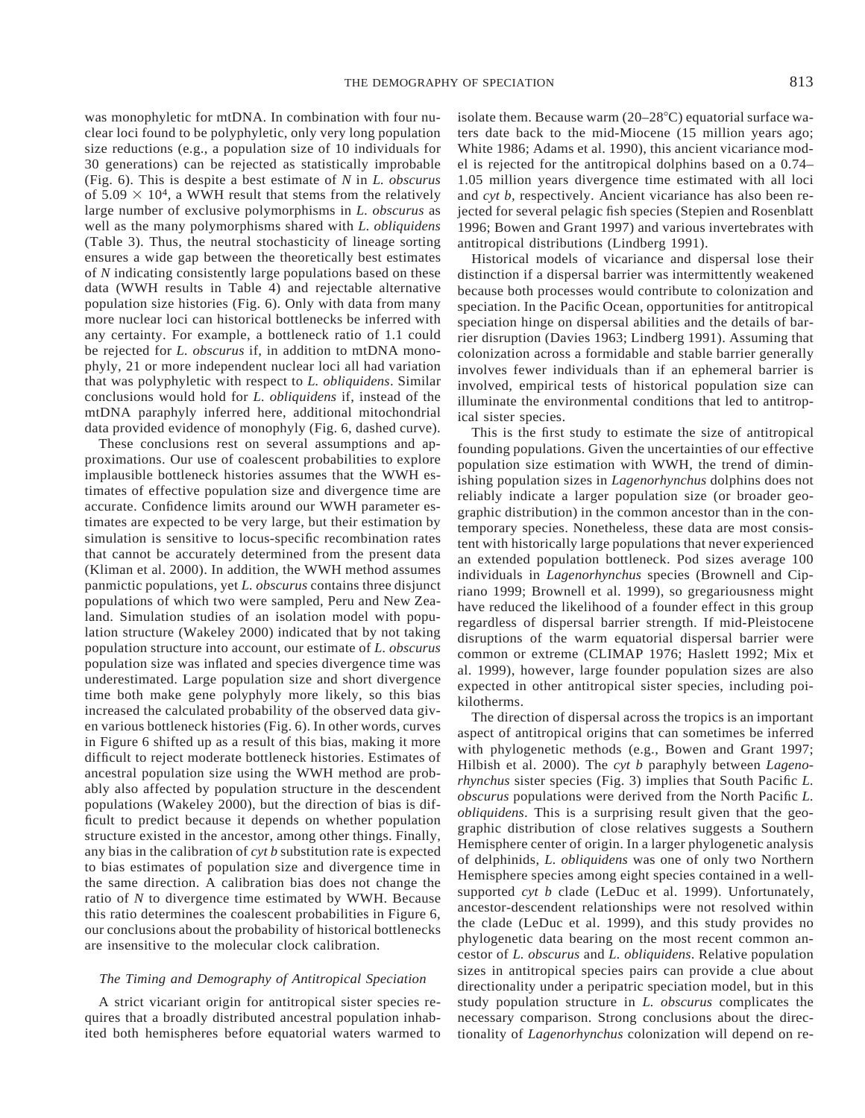was monophyletic for mtDNA. In combination with four nuclear loci found to be polyphyletic, only very long population size reductions (e.g., a population size of 10 individuals for 30 generations) can be rejected as statistically improbable (Fig. 6). This is despite a best estimate of *N* in *L. obscurus* of  $5.09 \times 10^4$ , a WWH result that stems from the relatively large number of exclusive polymorphisms in *L. obscurus* as well as the many polymorphisms shared with *L. obliquidens* (Table 3). Thus, the neutral stochasticity of lineage sorting ensures a wide gap between the theoretically best estimates of *N* indicating consistently large populations based on these data (WWH results in Table 4) and rejectable alternative population size histories (Fig. 6). Only with data from many more nuclear loci can historical bottlenecks be inferred with any certainty. For example, a bottleneck ratio of 1.1 could be rejected for *L. obscurus* if, in addition to mtDNA monophyly, 21 or more independent nuclear loci all had variation that was polyphyletic with respect to *L. obliquidens*. Similar conclusions would hold for *L. obliquidens* if, instead of the mtDNA paraphyly inferred here, additional mitochondrial data provided evidence of monophyly (Fig. 6, dashed curve).

These conclusions rest on several assumptions and approximations. Our use of coalescent probabilities to explore implausible bottleneck histories assumes that the WWH estimates of effective population size and divergence time are accurate. Confidence limits around our WWH parameter estimates are expected to be very large, but their estimation by simulation is sensitive to locus-specific recombination rates that cannot be accurately determined from the present data (Kliman et al. 2000). In addition, the WWH method assumes panmictic populations, yet *L. obscurus* contains three disjunct populations of which two were sampled, Peru and New Zealand. Simulation studies of an isolation model with population structure (Wakeley 2000) indicated that by not taking population structure into account, our estimate of *L. obscurus* population size was inflated and species divergence time was underestimated. Large population size and short divergence time both make gene polyphyly more likely, so this bias increased the calculated probability of the observed data given various bottleneck histories (Fig. 6). In other words, curves in Figure 6 shifted up as a result of this bias, making it more difficult to reject moderate bottleneck histories. Estimates of ancestral population size using the WWH method are probably also affected by population structure in the descendent populations (Wakeley 2000), but the direction of bias is difficult to predict because it depends on whether population structure existed in the ancestor, among other things. Finally, any bias in the calibration of *cyt b* substitution rate is expected to bias estimates of population size and divergence time in the same direction. A calibration bias does not change the ratio of *N* to divergence time estimated by WWH. Because this ratio determines the coalescent probabilities in Figure 6, our conclusions about the probability of historical bottlenecks are insensitive to the molecular clock calibration.

# *The Timing and Demography of Antitropical Speciation*

A strict vicariant origin for antitropical sister species requires that a broadly distributed ancestral population inhabited both hemispheres before equatorial waters warmed to isolate them. Because warm  $(20-28\degree C)$  equatorial surface waters date back to the mid-Miocene (15 million years ago; White 1986; Adams et al. 1990), this ancient vicariance model is rejected for the antitropical dolphins based on a 0.74– 1.05 million years divergence time estimated with all loci and *cyt b,* respectively. Ancient vicariance has also been rejected for several pelagic fish species (Stepien and Rosenblatt 1996; Bowen and Grant 1997) and various invertebrates with antitropical distributions (Lindberg 1991).

Historical models of vicariance and dispersal lose their distinction if a dispersal barrier was intermittently weakened because both processes would contribute to colonization and speciation. In the Pacific Ocean, opportunities for antitropical speciation hinge on dispersal abilities and the details of barrier disruption (Davies 1963; Lindberg 1991). Assuming that colonization across a formidable and stable barrier generally involves fewer individuals than if an ephemeral barrier is involved, empirical tests of historical population size can illuminate the environmental conditions that led to antitropical sister species.

This is the first study to estimate the size of antitropical founding populations. Given the uncertainties of our effective population size estimation with WWH, the trend of diminishing population sizes in *Lagenorhynchus* dolphins does not reliably indicate a larger population size (or broader geographic distribution) in the common ancestor than in the contemporary species. Nonetheless, these data are most consistent with historically large populations that never experienced an extended population bottleneck. Pod sizes average 100 individuals in *Lagenorhynchus* species (Brownell and Cipriano 1999; Brownell et al. 1999), so gregariousness might have reduced the likelihood of a founder effect in this group regardless of dispersal barrier strength. If mid-Pleistocene disruptions of the warm equatorial dispersal barrier were common or extreme (CLIMAP 1976; Haslett 1992; Mix et al. 1999), however, large founder population sizes are also expected in other antitropical sister species, including poikilotherms.

The direction of dispersal across the tropics is an important aspect of antitropical origins that can sometimes be inferred with phylogenetic methods (e.g., Bowen and Grant 1997; Hilbish et al. 2000). The *cyt b* paraphyly between *Lagenorhynchus* sister species (Fig. 3) implies that South Pacific *L. obscurus* populations were derived from the North Pacific *L. obliquidens*. This is a surprising result given that the geographic distribution of close relatives suggests a Southern Hemisphere center of origin. In a larger phylogenetic analysis of delphinids, *L. obliquidens* was one of only two Northern Hemisphere species among eight species contained in a wellsupported *cyt b* clade (LeDuc et al. 1999). Unfortunately, ancestor-descendent relationships were not resolved within the clade (LeDuc et al. 1999), and this study provides no phylogenetic data bearing on the most recent common ancestor of *L. obscurus* and *L. obliquidens*. Relative population sizes in antitropical species pairs can provide a clue about directionality under a peripatric speciation model, but in this study population structure in *L. obscurus* complicates the necessary comparison. Strong conclusions about the directionality of *Lagenorhynchus* colonization will depend on re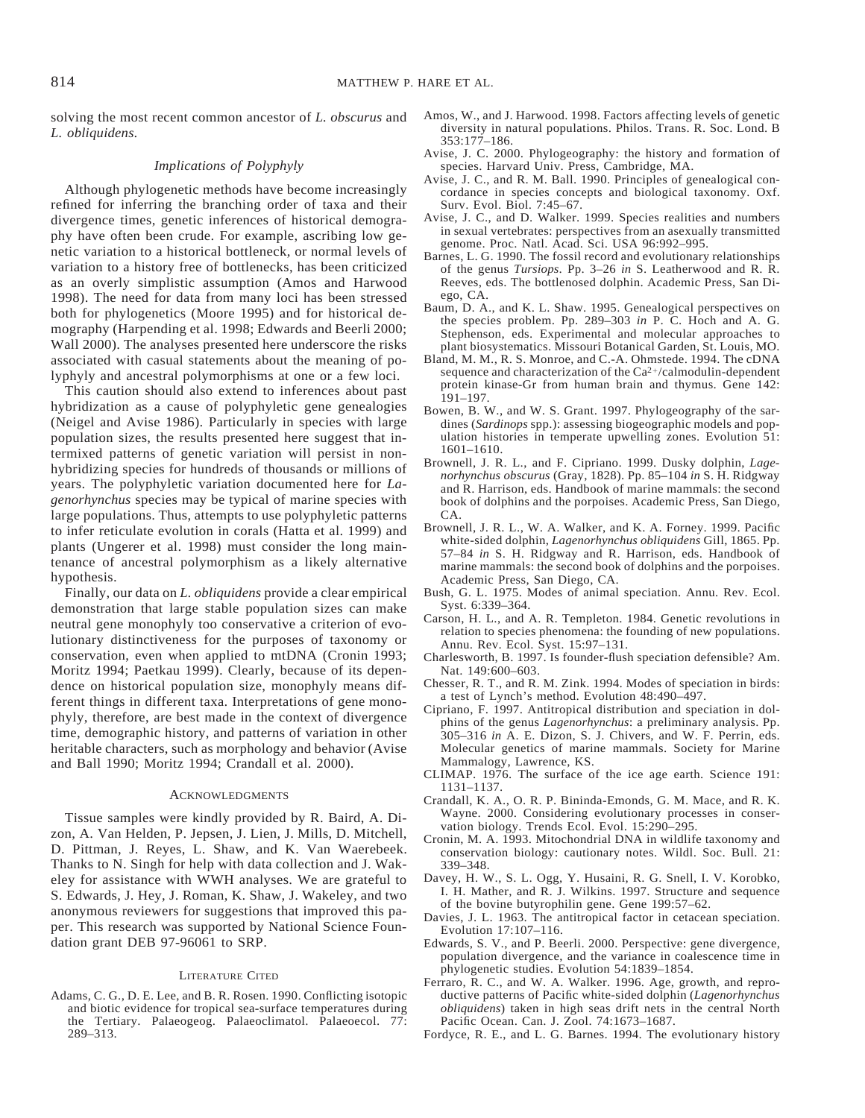solving the most recent common ancestor of *L. obscurus* and *L. obliquidens*.

# *Implications of Polyphyly*

Although phylogenetic methods have become increasingly refined for inferring the branching order of taxa and their divergence times, genetic inferences of historical demography have often been crude. For example, ascribing low genetic variation to a historical bottleneck, or normal levels of variation to a history free of bottlenecks, has been criticized as an overly simplistic assumption (Amos and Harwood 1998). The need for data from many loci has been stressed both for phylogenetics (Moore 1995) and for historical demography (Harpending et al. 1998; Edwards and Beerli 2000; Wall 2000). The analyses presented here underscore the risks associated with casual statements about the meaning of polyphyly and ancestral polymorphisms at one or a few loci.

This caution should also extend to inferences about past hybridization as a cause of polyphyletic gene genealogies (Neigel and Avise 1986). Particularly in species with large population sizes, the results presented here suggest that intermixed patterns of genetic variation will persist in nonhybridizing species for hundreds of thousands or millions of years. The polyphyletic variation documented here for *Lagenorhynchus* species may be typical of marine species with large populations. Thus, attempts to use polyphyletic patterns to infer reticulate evolution in corals (Hatta et al. 1999) and plants (Ungerer et al. 1998) must consider the long maintenance of ancestral polymorphism as a likely alternative hypothesis.

Finally, our data on *L. obliquidens* provide a clear empirical demonstration that large stable population sizes can make neutral gene monophyly too conservative a criterion of evolutionary distinctiveness for the purposes of taxonomy or conservation, even when applied to mtDNA (Cronin 1993; Moritz 1994; Paetkau 1999). Clearly, because of its dependence on historical population size, monophyly means different things in different taxa. Interpretations of gene monophyly, therefore, are best made in the context of divergence time, demographic history, and patterns of variation in other heritable characters, such as morphology and behavior (Avise and Ball 1990; Moritz 1994; Crandall et al. 2000).

## **ACKNOWLEDGMENTS**

Tissue samples were kindly provided by R. Baird, A. Dizon, A. Van Helden, P. Jepsen, J. Lien, J. Mills, D. Mitchell, D. Pittman, J. Reyes, L. Shaw, and K. Van Waerebeek. Thanks to N. Singh for help with data collection and J. Wakeley for assistance with WWH analyses. We are grateful to S. Edwards, J. Hey, J. Roman, K. Shaw, J. Wakeley, and two anonymous reviewers for suggestions that improved this paper. This research was supported by National Science Foundation grant DEB 97-96061 to SRP.

#### LITERATURE CITED

Adams, C. G., D. E. Lee, and B. R. Rosen. 1990. Conflicting isotopic and biotic evidence for tropical sea-surface temperatures during the Tertiary. Palaeogeog. Palaeoclimatol. Palaeoecol. 77: 289–313.

- Amos, W., and J. Harwood. 1998. Factors affecting levels of genetic diversity in natural populations. Philos. Trans. R. Soc. Lond. B 353:177–186.
- Avise, J. C. 2000. Phylogeography: the history and formation of species. Harvard Univ. Press, Cambridge, MA.
- Avise, J. C., and R. M. Ball. 1990. Principles of genealogical concordance in species concepts and biological taxonomy. Oxf. Surv. Evol. Biol. 7:45–67.
- Avise, J. C., and D. Walker. 1999. Species realities and numbers in sexual vertebrates: perspectives from an asexually transmitted genome. Proc. Natl. Acad. Sci. USA 96:992–995.
- Barnes, L. G. 1990. The fossil record and evolutionary relationships of the genus *Tursiops*. Pp. 3–26 *in* S. Leatherwood and R. R. Reeves, eds. The bottlenosed dolphin. Academic Press, San Diego, CA.
- Baum, D. A., and K. L. Shaw. 1995. Genealogical perspectives on the species problem. Pp. 289–303 *in* P. C. Hoch and A. G. Stephenson, eds. Experimental and molecular approaches to plant biosystematics. Missouri Botanical Garden, St. Louis, MO.
- Bland, M. M., R. S. Monroe, and C.-A. Ohmstede. 1994. The cDNA sequence and characterization of the  $Ca^{2+}/cal$ ndmodulin-dependent protein kinase-Gr from human brain and thymus. Gene 142: 191–197.
- Bowen, B. W., and W. S. Grant. 1997. Phylogeography of the sardines (*Sardinops* spp.): assessing biogeographic models and population histories in temperate upwelling zones. Evolution 51: 1601–1610.
- Brownell, J. R. L., and F. Cipriano. 1999. Dusky dolphin, *Lagenorhynchus obscurus* (Gray, 1828). Pp. 85–104 *in* S. H. Ridgway and R. Harrison, eds. Handbook of marine mammals: the second book of dolphins and the porpoises. Academic Press, San Diego, CA.
- Brownell, J. R. L., W. A. Walker, and K. A. Forney. 1999. Pacific white-sided dolphin, *Lagenorhynchus obliquidens* Gill, 1865. Pp. 57–84 *in* S. H. Ridgway and R. Harrison, eds. Handbook of marine mammals: the second book of dolphins and the porpoises. Academic Press, San Diego, CA.
- Bush, G. L. 1975. Modes of animal speciation. Annu. Rev. Ecol. Syst. 6:339–364.
- Carson, H. L., and A. R. Templeton. 1984. Genetic revolutions in relation to species phenomena: the founding of new populations. Annu. Rev. Ecol. Syst. 15:97–131.
- Charlesworth, B. 1997. Is founder-flush speciation defensible? Am. Nat. 149:600–603.
- Chesser, R. T., and R. M. Zink. 1994. Modes of speciation in birds: a test of Lynch's method. Evolution 48:490–497.
- Cipriano, F. 1997. Antitropical distribution and speciation in dolphins of the genus *Lagenorhynchus*: a preliminary analysis. Pp. 305–316 *in* A. E. Dizon, S. J. Chivers, and W. F. Perrin, eds. Molecular genetics of marine mammals. Society for Marine Mammalogy, Lawrence, KS.
- CLIMAP. 1976. The surface of the ice age earth. Science 191: 1131–1137.
- Crandall, K. A., O. R. P. Bininda-Emonds, G. M. Mace, and R. K. Wayne. 2000. Considering evolutionary processes in conservation biology. Trends Ecol. Evol. 15:290–295.
- Cronin, M. A. 1993. Mitochondrial DNA in wildlife taxonomy and conservation biology: cautionary notes. Wildl. Soc. Bull. 21: 339–348.
- Davey, H. W., S. L. Ogg, Y. Husaini, R. G. Snell, I. V. Korobko, I. H. Mather, and R. J. Wilkins. 1997. Structure and sequence of the bovine butyrophilin gene. Gene 199:57–62.
- Davies, J. L. 1963. The antitropical factor in cetacean speciation. Evolution 17:107–116.
- Edwards, S. V., and P. Beerli. 2000. Perspective: gene divergence, population divergence, and the variance in coalescence time in phylogenetic studies. Evolution 54:1839–1854.
- Ferraro, R. C., and W. A. Walker. 1996. Age, growth, and reproductive patterns of Pacific white-sided dolphin (*Lagenorhynchus obliquidens*) taken in high seas drift nets in the central North Pacific Ocean. Can. J. Zool. 74:1673–1687.
- Fordyce, R. E., and L. G. Barnes. 1994. The evolutionary history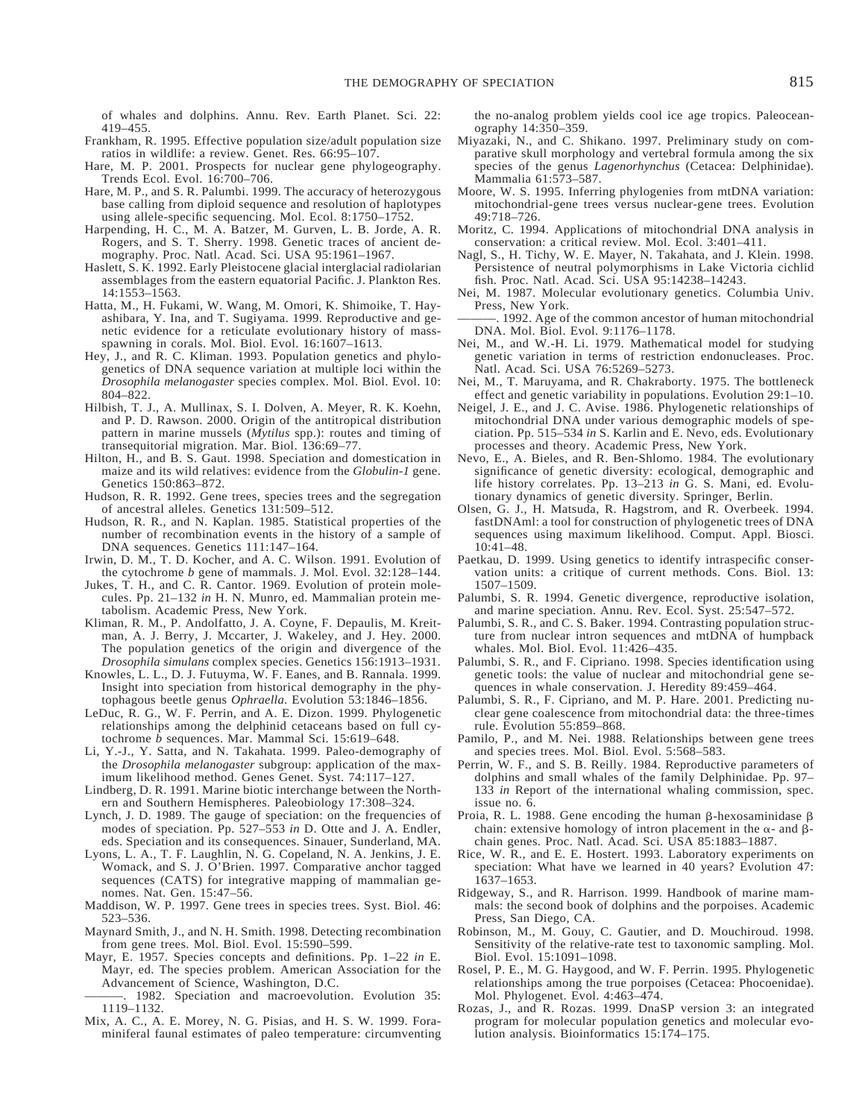of whales and dolphins. Annu. Rev. Earth Planet. Sci. 22: 419–455.

- Frankham, R. 1995. Effective population size/adult population size ratios in wildlife: a review. Genet. Res. 66:95–107.
- Hare, M. P. 2001. Prospects for nuclear gene phylogeography. Trends Ecol. Evol. 16:700–706.
- Hare, M. P., and S. R. Palumbi. 1999. The accuracy of heterozygous base calling from diploid sequence and resolution of haplotypes using allele-specific sequencing. Mol. Ecol. 8:1750–1752.
- Harpending, H. C., M. A. Batzer, M. Gurven, L. B. Jorde, A. R. Rogers, and S. T. Sherry. 1998. Genetic traces of ancient demography. Proc. Natl. Acad. Sci. USA 95:1961–1967.
- Haslett, S. K. 1992. Early Pleistocene glacial interglacial radiolarian assemblages from the eastern equatorial Pacific. J. Plankton Res. 14:1553–1563.
- Hatta, M., H. Fukami, W. Wang, M. Omori, K. Shimoike, T. Hayashibara, Y. Ina, and T. Sugiyama. 1999. Reproductive and genetic evidence for a reticulate evolutionary history of massspawning in corals. Mol. Biol. Evol. 16:1607–1613.
- Hey, J., and R. C. Kliman. 1993. Population genetics and phylogenetics of DNA sequence variation at multiple loci within the *Drosophila melanogaster* species complex. Mol. Biol. Evol. 10: 804–822.
- Hilbish, T. J., A. Mullinax, S. I. Dolven, A. Meyer, R. K. Koehn, and P. D. Rawson. 2000. Origin of the antitropical distribution pattern in marine mussels (*Mytilus* spp.): routes and timing of transequitorial migration. Mar. Biol. 136:69–77.
- Hilton, H., and B. S. Gaut. 1998. Speciation and domestication in maize and its wild relatives: evidence from the *Globulin-1* gene. Genetics 150:863–872.
- Hudson, R. R. 1992. Gene trees, species trees and the segregation of ancestral alleles. Genetics 131:509–512.
- Hudson, R. R., and N. Kaplan. 1985. Statistical properties of the number of recombination events in the history of a sample of DNA sequences. Genetics 111:147–164.
- Irwin, D. M., T. D. Kocher, and A. C. Wilson. 1991. Evolution of the cytochrome *b* gene of mammals. J. Mol. Evol. 32:128–144.
- Jukes, T. H., and C. R. Cantor. 1969. Evolution of protein molecules. Pp. 21–132 *in* H. N. Munro, ed. Mammalian protein metabolism. Academic Press, New York.
- Kliman, R. M., P. Andolfatto, J. A. Coyne, F. Depaulis, M. Kreitman, A. J. Berry, J. Mccarter, J. Wakeley, and J. Hey. 2000. The population genetics of the origin and divergence of the *Drosophila simulans* complex species. Genetics 156:1913–1931.
- Knowles, L. L., D. J. Futuyma, W. F. Eanes, and B. Rannala. 1999. Insight into speciation from historical demography in the phytophagous beetle genus *Ophraella*. Evolution 53:1846–1856.
- LeDuc, R. G., W. F. Perrin, and A. E. Dizon. 1999. Phylogenetic relationships among the delphinid cetaceans based on full cytochrome *b* sequences. Mar. Mammal Sci. 15:619–648.
- Li, Y.-J., Y. Satta, and N. Takahata. 1999. Paleo-demography of the *Drosophila melanogaster* subgroup: application of the maximum likelihood method. Genes Genet. Syst. 74:117–127.
- Lindberg, D. R. 1991. Marine biotic interchange between the Northern and Southern Hemispheres. Paleobiology 17:308–324.
- Lynch, J. D. 1989. The gauge of speciation: on the frequencies of modes of speciation. Pp. 527–553 *in* D. Otte and J. A. Endler, eds. Speciation and its consequences. Sinauer, Sunderland, MA.
- Lyons, L. A., T. F. Laughlin, N. G. Copeland, N. A. Jenkins, J. E. Womack, and S. J. O'Brien. 1997. Comparative anchor tagged sequences (CATS) for integrative mapping of mammalian genomes. Nat. Gen. 15:47–56.
- Maddison, W. P. 1997. Gene trees in species trees. Syst. Biol. 46: 523–536.
- Maynard Smith, J., and N. H. Smith. 1998. Detecting recombination from gene trees. Mol. Biol. Evol. 15:590–599.
- Mayr, E. 1957. Species concepts and definitions. Pp. 1–22 *in* E. Mayr, ed. The species problem. American Association for the Advancement of Science, Washington, D.C.

1982. Speciation and macroevolution. Evolution 35: 1119–1132.

Mix, A. C., A. E. Morey, N. G. Pisias, and H. S. W. 1999. Foraminiferal faunal estimates of paleo temperature: circumventing the no-analog problem yields cool ice age tropics. Paleoceanography 14:350–359.

- Miyazaki, N., and C. Shikano. 1997. Preliminary study on comparative skull morphology and vertebral formula among the six species of the genus *Lagenorhynchus* (Cetacea: Delphinidae). Mammalia 61:573–587.
- Moore, W. S. 1995. Inferring phylogenies from mtDNA variation: mitochondrial-gene trees versus nuclear-gene trees. Evolution 49:718–726.
- Moritz, C. 1994. Applications of mitochondrial DNA analysis in conservation: a critical review. Mol. Ecol. 3:401–411.
- Nagl, S., H. Tichy, W. E. Mayer, N. Takahata, and J. Klein. 1998. Persistence of neutral polymorphisms in Lake Victoria cichlid fish. Proc. Natl. Acad. Sci. USA 95:14238–14243.
- Nei, M. 1987. Molecular evolutionary genetics. Columbia Univ. Press, New York.
- ———. 1992. Age of the common ancestor of human mitochondrial DNA. Mol. Biol. Evol. 9:1176–1178.
- Nei, M., and W.-H. Li. 1979. Mathematical model for studying genetic variation in terms of restriction endonucleases. Proc. Natl. Acad. Sci. USA 76:5269–5273.
- Nei, M., T. Maruyama, and R. Chakraborty. 1975. The bottleneck effect and genetic variability in populations. Evolution 29:1–10.
- Neigel, J. E., and J. C. Avise. 1986. Phylogenetic relationships of mitochondrial DNA under various demographic models of speciation. Pp. 515–534 *in* S. Karlin and E. Nevo, eds. Evolutionary processes and theory. Academic Press, New York.
- Nevo, E., A. Bieles, and R. Ben-Shlomo. 1984. The evolutionary significance of genetic diversity: ecological, demographic and life history correlates. Pp. 13–213 *in* G. S. Mani, ed. Evolutionary dynamics of genetic diversity. Springer, Berlin.
- Olsen, G. J., H. Matsuda, R. Hagstrom, and R. Overbeek. 1994. fastDNAml: a tool for construction of phylogenetic trees of DNA sequences using maximum likelihood. Comput. Appl. Biosci. 10:41–48.
- Paetkau, D. 1999. Using genetics to identify intraspecific conservation units: a critique of current methods. Cons. Biol. 13: 1507–1509.
- Palumbi, S. R. 1994. Genetic divergence, reproductive isolation, and marine speciation. Annu. Rev. Ecol. Syst. 25:547–572.
- Palumbi, S. R., and C. S. Baker. 1994. Contrasting population structure from nuclear intron sequences and mtDNA of humpback whales. Mol. Biol. Evol. 11:426–435.
- Palumbi, S. R., and F. Cipriano. 1998. Species identification using genetic tools: the value of nuclear and mitochondrial gene sequences in whale conservation. J. Heredity 89:459–464.
- Palumbi, S. R., F. Cipriano, and M. P. Hare. 2001. Predicting nuclear gene coalescence from mitochondrial data: the three-times rule. Evolution 55:859–868.
- Pamilo, P., and M. Nei. 1988. Relationships between gene trees and species trees. Mol. Biol. Evol. 5:568–583.
- Perrin, W. F., and S. B. Reilly. 1984. Reproductive parameters of dolphins and small whales of the family Delphinidae. Pp. 97– 133 *in* Report of the international whaling commission, spec. issue no. 6.
- Proia, R. L. 1988. Gene encoding the human  $\beta$ -hexosaminidase  $\beta$ chain: extensive homology of intron placement in the  $\alpha$ - and  $\beta$ chain genes. Proc. Natl. Acad. Sci. USA 85:1883–1887.
- Rice, W. R., and E. E. Hostert. 1993. Laboratory experiments on speciation: What have we learned in 40 years? Evolution 47: 1637–1653.
- Ridgeway, S., and R. Harrison. 1999. Handbook of marine mammals: the second book of dolphins and the porpoises. Academic Press, San Diego, CA.
- Robinson, M., M. Gouy, C. Gautier, and D. Mouchiroud. 1998. Sensitivity of the relative-rate test to taxonomic sampling. Mol. Biol. Evol. 15:1091–1098.
- Rosel, P. E., M. G. Haygood, and W. F. Perrin. 1995. Phylogenetic relationships among the true porpoises (Cetacea: Phocoenidae). Mol. Phylogenet. Evol. 4:463–474.
- Rozas, J., and R. Rozas. 1999. DnaSP version 3: an integrated program for molecular population genetics and molecular evolution analysis. Bioinformatics 15:174–175.